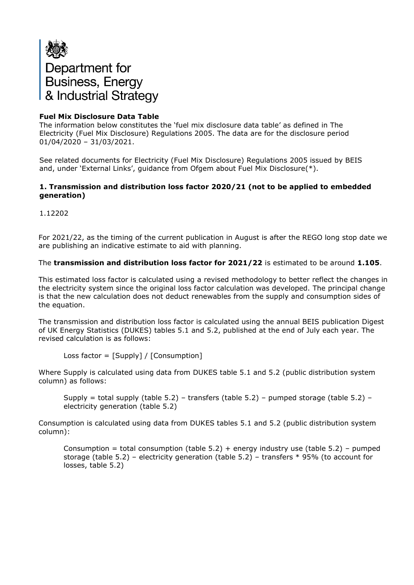

# **Fuel Mix Disclosure Data Table**

The information below constitutes the 'fuel mix disclosure data table' as defined in The Electricity (Fuel Mix Disclosure) Regulations 2005. The data are for the disclosure period 01/04/2020 – 31/03/2021.

See related documents for Electricity (Fuel Mix Disclosure) Regulations 2005 issued by BEIS and, under 'External Links', guidance from Ofgem about Fuel Mix Disclosure(\*).

#### **1. Transmission and distribution loss factor 2020/21 (not to be applied to embedded generation)**

1.12202

For 2021/22, as the timing of the current publication in August is after the REGO long stop date we are publishing an indicative estimate to aid with planning.

#### The **transmission and distribution loss factor for 2021/22** is estimated to be around **1.105**.

This estimated loss factor is calculated using a revised methodology to better reflect the changes in the electricity system since the original loss factor calculation was developed. The principal change is that the new calculation does not deduct renewables from the supply and consumption sides of the equation.

The transmission and distribution loss factor is calculated using the annual BEIS publication Digest of UK Energy Statistics (DUKES) tables 5.1 and 5.2, published at the end of July each year. The revised calculation is as follows:

Loss factor = [Supply] / [Consumption]

Where Supply is calculated using data from DUKES table 5.1 and 5.2 (public distribution system column) as follows:

Supply = total supply (table 5.2) – transfers (table 5.2) – pumped storage (table 5.2) – electricity generation (table 5.2)

Consumption is calculated using data from DUKES tables 5.1 and 5.2 (public distribution system column):

Consumption = total consumption (table  $5.2$ ) + energy industry use (table  $5.2$ ) – pumped storage (table 5.2) – electricity generation (table 5.2) – transfers \* 95% (to account for losses, table 5.2)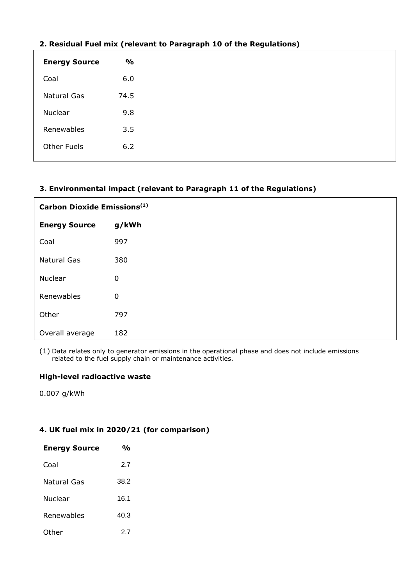| 2. Residual Fuel IIIIA (Felevalit to Faragraph 10 of the Regulations) |               |  |  |  |
|-----------------------------------------------------------------------|---------------|--|--|--|
| <b>Energy Source</b>                                                  | $\frac{1}{2}$ |  |  |  |
| Coal                                                                  | 6.0           |  |  |  |
| Natural Gas                                                           | 74.5          |  |  |  |
| Nuclear                                                               | 9.8           |  |  |  |
| Renewables                                                            | 3.5           |  |  |  |
| <b>Other Fuels</b>                                                    | 6.2           |  |  |  |
|                                                                       |               |  |  |  |

# **2. Residual Fuel mix (relevant to Paragraph 10 of the Regulations)**

## **3. Environmental impact (relevant to Paragraph 11 of the Regulations)**

| Carbon Dioxide Emissions <sup>(1)</sup> |             |  |  |
|-----------------------------------------|-------------|--|--|
| <b>Energy Source</b>                    | g/kWh       |  |  |
| Coal                                    | 997         |  |  |
| <b>Natural Gas</b>                      | 380         |  |  |
| Nuclear                                 | $\mathbf 0$ |  |  |
| Renewables                              | $\pmb{0}$   |  |  |
| Other                                   | 797         |  |  |
| Overall average                         | 182         |  |  |

(1) Data relates only to generator emissions in the operational phase and does not include emissions related to the fuel supply chain or maintenance activities.

### **High-level radioactive waste**

0.007 g/kWh

# **4. UK fuel mix in 2020/21 (for comparison)**

| <b>Energy Source</b> | $\mathbf{v}_{\mathbf{0}}$ |
|----------------------|---------------------------|
| Coal                 | 2.7                       |
| Natural Gas          | 38.2                      |
| Nuclear              | 16.1                      |
| Renewables           | 40.3                      |
| Other                | 27                        |